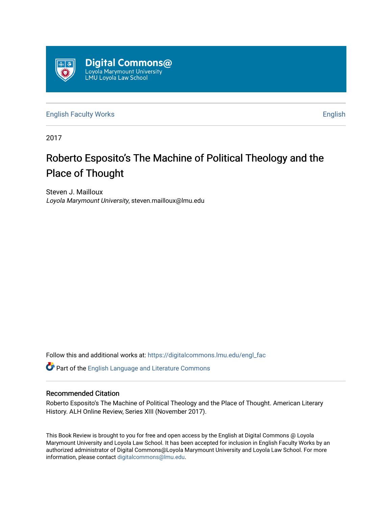

[English Faculty Works](https://digitalcommons.lmu.edu/engl_fac) **English** English

2017

## Roberto Esposito's The Machine of Political Theology and the Place of Thought

Steven J. Mailloux Loyola Marymount University, steven.mailloux@lmu.edu

Follow this and additional works at: [https://digitalcommons.lmu.edu/engl\\_fac](https://digitalcommons.lmu.edu/engl_fac?utm_source=digitalcommons.lmu.edu%2Fengl_fac%2F76&utm_medium=PDF&utm_campaign=PDFCoverPages)

Part of the [English Language and Literature Commons](http://network.bepress.com/hgg/discipline/455?utm_source=digitalcommons.lmu.edu%2Fengl_fac%2F76&utm_medium=PDF&utm_campaign=PDFCoverPages)

## Recommended Citation

Roberto Esposito's The Machine of Political Theology and the Place of Thought. American Literary History. ALH Online Review, Series XIII (November 2017).

This Book Review is brought to you for free and open access by the English at Digital Commons @ Loyola Marymount University and Loyola Law School. It has been accepted for inclusion in English Faculty Works by an authorized administrator of Digital Commons@Loyola Marymount University and Loyola Law School. For more information, please contact [digitalcommons@lmu.edu.](mailto:digitalcommons@lmu.edu)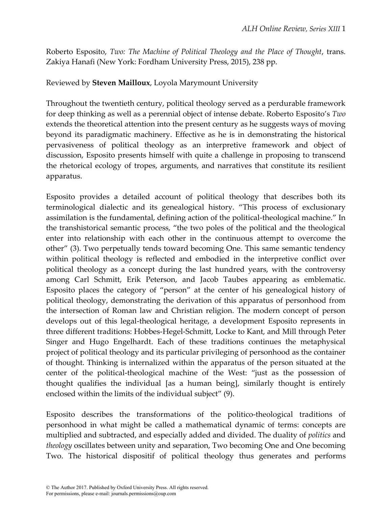Roberto Esposito, *Two: The Machine of Political Theology and the Place of Thought*, trans. Zakiya Hanafi (New York: Fordham University Press, 2015), 238 pp.

Reviewed by **Steven Mailloux**, Loyola Marymount University

Throughout the twentieth century, political theology served as a perdurable framework for deep thinking as well as a perennial object of intense debate. Roberto Esposito's *Two*  extends the theoretical attention into the present century as he suggests ways of moving beyond its paradigmatic machinery. Effective as he is in demonstrating the historical pervasiveness of political theology as an interpretive framework and object of discussion, Esposito presents himself with quite a challenge in proposing to transcend the rhetorical ecology of tropes, arguments, and narratives that constitute its resilient apparatus.

Esposito provides a detailed account of political theology that describes both its terminological dialectic and its genealogical history. "This process of exclusionary assimilation is the fundamental, defining action of the political-theological machine." In the transhistorical semantic process, "the two poles of the political and the theological enter into relationship with each other in the continuous attempt to overcome the other" (3). Two perpetually tends toward becoming One. This same semantic tendency within political theology is reflected and embodied in the interpretive conflict over political theology as a concept during the last hundred years, with the controversy among Carl Schmitt, Erik Peterson, and Jacob Taubes appearing as emblematic. Esposito places the category of "person" at the center of his genealogical history of political theology, demonstrating the derivation of this apparatus of personhood from the intersection of Roman law and Christian religion. The modern concept of person develops out of this legal-theological heritage, a development Esposito represents in three different traditions: Hobbes-Hegel-Schmitt, Locke to Kant, and Mill through Peter Singer and Hugo Engelhardt. Each of these traditions continues the metaphysical project of political theology and its particular privileging of personhood as the container of thought. Thinking is internalized within the apparatus of the person situated at the center of the political-theological machine of the West: "just as the possession of thought qualifies the individual [as a human being], similarly thought is entirely enclosed within the limits of the individual subject" (9).

Esposito describes the transformations of the politico-theological traditions of personhood in what might be called a mathematical dynamic of terms: concepts are multiplied and subtracted, and especially added and divided. The duality of *politics* and *theology* oscillates between unity and separation, Two becoming One and One becoming Two. The historical dispositif of political theology thus generates and performs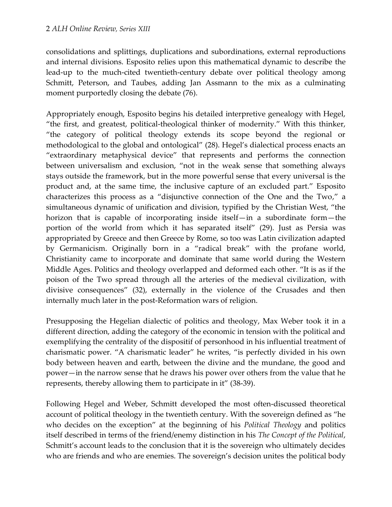consolidations and splittings, duplications and subordinations, external reproductions and internal divisions. Esposito relies upon this mathematical dynamic to describe the lead-up to the much-cited twentieth-century debate over political theology among Schmitt, Peterson, and Taubes, adding Jan Assmann to the mix as a culminating moment purportedly closing the debate (76).

Appropriately enough, Esposito begins his detailed interpretive genealogy with Hegel, "the first, and greatest, political-theological thinker of modernity." With this thinker, "the category of political theology extends its scope beyond the regional or methodological to the global and ontological" (28). Hegel's dialectical process enacts an "extraordinary metaphysical device" that represents and performs the connection between universalism and exclusion, "not in the weak sense that something always stays outside the framework, but in the more powerful sense that every universal is the product and, at the same time, the inclusive capture of an excluded part." Esposito characterizes this process as a "disjunctive connection of the One and the Two," a simultaneous dynamic of unification and division, typified by the Christian West, "the horizon that is capable of incorporating inside itself—in a subordinate form—the portion of the world from which it has separated itself" (29). Just as Persia was appropriated by Greece and then Greece by Rome, so too was Latin civilization adapted by Germanicism. Originally born in a "radical break" with the profane world, Christianity came to incorporate and dominate that same world during the Western Middle Ages. Politics and theology overlapped and deformed each other. "It is as if the poison of the Two spread through all the arteries of the medieval civilization, with divisive consequences" (32), externally in the violence of the Crusades and then internally much later in the post-Reformation wars of religion.

Presupposing the Hegelian dialectic of politics and theology, Max Weber took it in a different direction, adding the category of the economic in tension with the political and exemplifying the centrality of the dispositif of personhood in his influential treatment of charismatic power. "A charismatic leader" he writes, "is perfectly divided in his own body between heaven and earth, between the divine and the mundane, the good and power—in the narrow sense that he draws his power over others from the value that he represents, thereby allowing them to participate in it" (38-39).

Following Hegel and Weber, Schmitt developed the most often-discussed theoretical account of political theology in the twentieth century. With the sovereign defined as "he who decides on the exception" at the beginning of his *Political Theology* and politics itself described in terms of the friend/enemy distinction in his *The Concept of the Political*, Schmitt's account leads to the conclusion that it is the sovereign who ultimately decides who are friends and who are enemies. The sovereign's decision unites the political body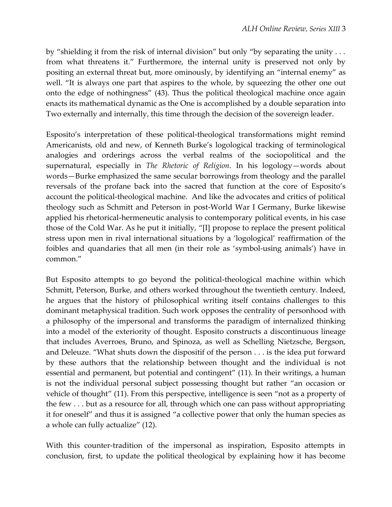by "shielding it from the risk of internal division" but only "by separating the unity . . . from what threatens it." Furthermore, the internal unity is preserved not only by positing an external threat but, more ominously, by identifying an "internal enemy" as well. "It is always one part that aspires to the whole, by squeezing the other one out onto the edge of nothingness" (43). Thus the political theological machine once again enacts its mathematical dynamic as the One is accomplished by a double separation into Two externally and internally, this time through the decision of the sovereign leader.

Esposito's interpretation of these political-theological transformations might remind Americanists, old and new, of Kenneth Burke's logological tracking of terminological analogies and orderings across the verbal realms of the sociopolitical and the supernatural, especially in *The Rhetoric of Religion*. In his logology—words about words—Burke emphasized the same secular borrowings from theology and the parallel reversals of the profane back into the sacred that function at the core of Esposito's account the political-theological machine. And like the advocates and critics of political theology such as Schmitt and Peterson in post-World War I Germany, Burke likewise applied his rhetorical-hermeneutic analysis to contemporary political events, in his case those of the Cold War. As he put it initially, "[I] propose to replace the present political stress upon men in rival international situations by a 'logological' reaffirmation of the foibles and quandaries that all men (in their role as 'symbol-using animals') have in common."

But Esposito attempts to go beyond the political-theological machine within which Schmitt, Peterson, Burke, and others worked throughout the twentieth century. Indeed, he argues that the history of philosophical writing itself contains challenges to this dominant metaphysical tradition. Such work opposes the centrality of personhood with a philosophy of the impersonal and transforms the paradigm of internalized thinking into a model of the exteriority of thought. Esposito constructs a discontinuous lineage that includes Averroes, Bruno, and Spinoza, as well as Schelling Nietzsche, Bergson, and Deleuze. "What shuts down the dispositif of the person . . . is the idea put forward by these authors that the relationship between thought and the individual is not essential and permanent, but potential and contingent" (11). In their writings, a human is not the individual personal subject possessing thought but rather "an occasion or vehicle of thought" (11). From this perspective, intelligence is seen "not as a property of the few . . . but as a resource for all, through which one can pass without appropriating it for oneself" and thus it is assigned "a collective power that only the human species as a whole can fully actualize" (12).

With this counter-tradition of the impersonal as inspiration, Esposito attempts in conclusion, first, to update the political theological by explaining how it has become